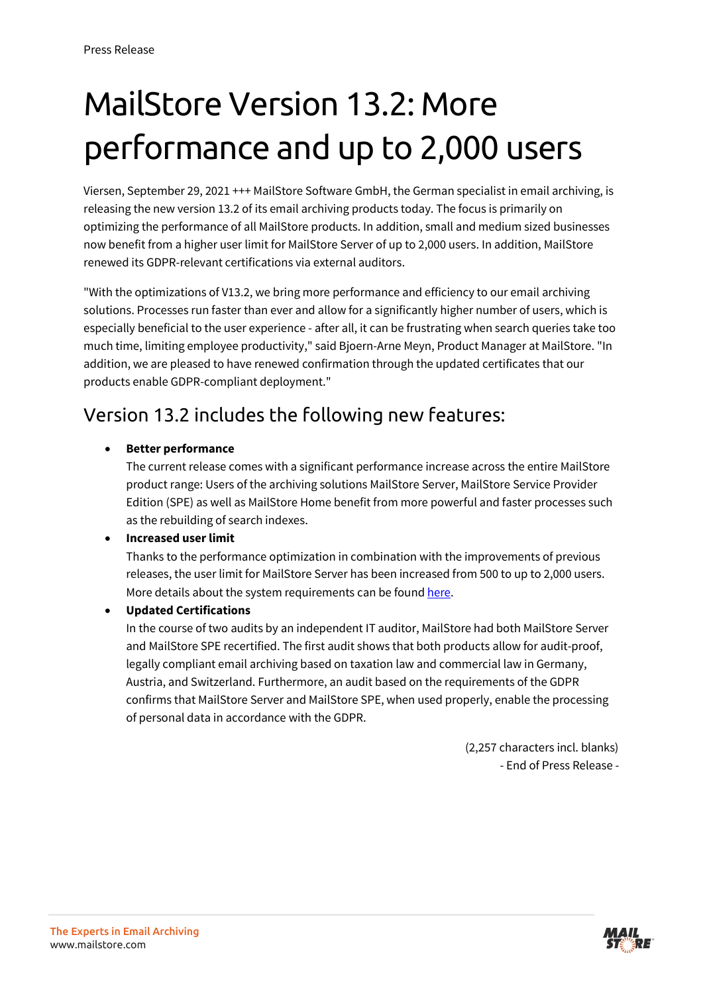# MailStore Version 13.2: More performance and up to 2,000 users

Viersen, September 29, 2021 +++ MailStore Software GmbH, the German specialist in email archiving, is releasing the new version 13.2 of its email archiving products today. The focus is primarily on optimizing the performance of all MailStore products. In addition, small and medium sized businesses now benefit from a higher user limit for MailStore Server of up to 2,000 users. In addition, MailStore renewed its GDPR-relevant certifications via external auditors.

"With the optimizations of V13.2, we bring more performance and efficiency to our email archiving solutions. Processes run faster than ever and allow for a significantly higher number of users, which is especially beneficial to the user experience - after all, it can be frustrating when search queries take too much time, limiting employee productivity," said Bjoern-Arne Meyn, Product Manager at MailStore. "In addition, we are pleased to have renewed confirmation through the updated certificates that our products enable GDPR-compliant deployment."

### Version 13.2 includes the following new features:

#### • **Better performance**

The current release comes with a significant performance increase across the entire MailStore product range: Users of the archiving solutions MailStore Server, MailStore Service Provider Edition (SPE) as well as MailStore Home benefit from more powerful and faster processes such as the rebuilding of search indexes.

#### • **Increased user limit**

Thanks to the performance optimization in combination with the improvements of previous releases, the user limit for MailStore Server has been increased from 500 to up to 2,000 users. More details about the system requirements can be found [here.](https://help.mailstore.com/en/server/System_Requirements)

• **Updated Certifications**

In the course of two audits by an independent IT auditor, MailStore had both MailStore Server and MailStore SPE recertified. The first audit shows that both products allow for audit-proof, legally compliant email archiving based on taxation law and commercial law in Germany, Austria, and Switzerland. Furthermore, an audit based on the requirements of the GDPR confirms that MailStore Server and MailStore SPE, when used properly, enable the processing of personal data in accordance with the GDPR.

> (2,257 characters incl. blanks) - End of Press Release -

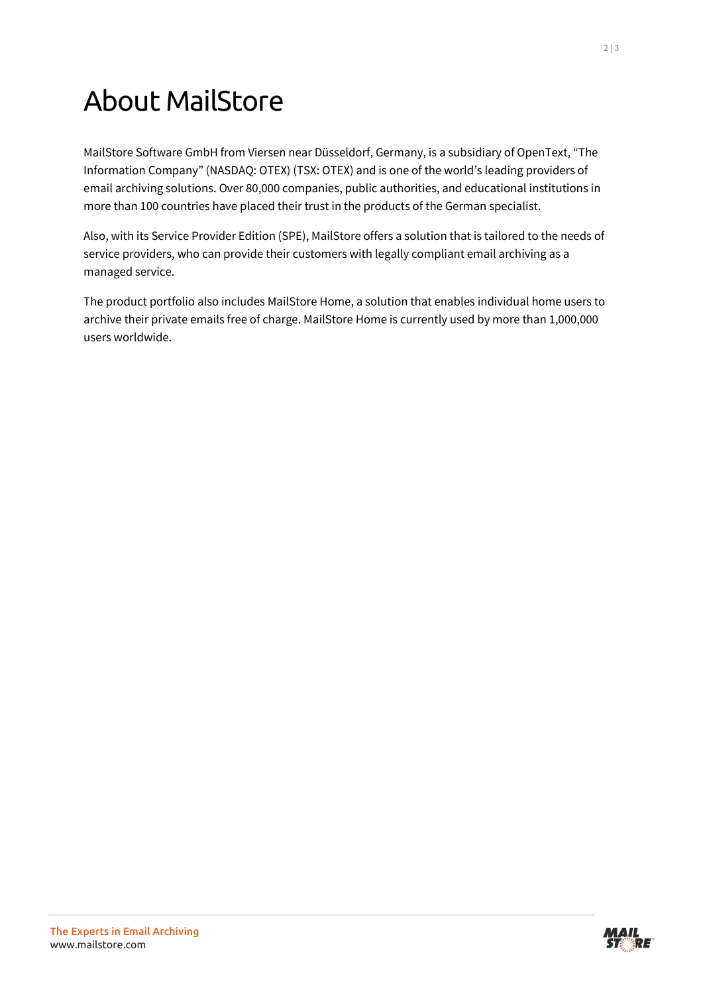## About MailStore

MailStore Software GmbH from Viersen near Düsseldorf, Germany, is a subsidiary of OpenText, "The Information Company" (NASDAQ: OTEX) (TSX: OTEX) and is one of the world's leading providers of email archiving solutions. Over 80,000 companies, public authorities, and educational institutions in more than 100 countries have placed their trust in the products of the German specialist.

Also, with its Service Provider Edition (SPE), MailStore offers a solution that is tailored to the needs of service providers, who can provide their customers with legally compliant email archiving as a managed service.

The product portfolio also includes MailStore Home, a solution that enables individual home users to archive their private emails free of charge. MailStore Home is currently used by more than 1,000,000 users worldwide.